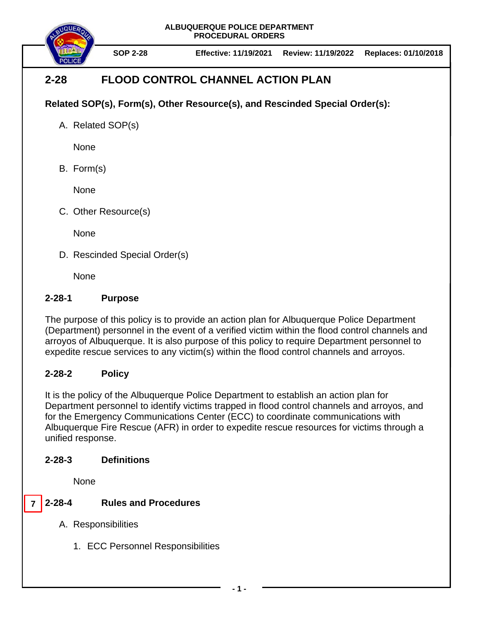**ALBUQUERQUE POLICE DEPARTMENT PROCEDURAL ORDERS**



**SOP 2-28 Effective: 11/19/2021 Review: 11/19/2022 Replaces: 01/10/2018**

# **2-28 FLOOD CONTROL CHANNEL ACTION PLAN**

### **Related SOP(s), Form(s), Other Resource(s), and Rescinded Special Order(s):**

A. Related SOP(s)

**None** 

B. Form(s)

None

C. Other Resource(s)

None

D. Rescinded Special Order(s)

None

### **2-28-1 Purpose**

The purpose of this policy is to provide an action plan for Albuquerque Police Department (Department) personnel in the event of a verified victim within the flood control channels and arroyos of Albuquerque. It is also purpose of this policy to require Department personnel to expedite rescue services to any victim(s) within the flood control channels and arroyos.

### **2-28-2 Policy**

It is the policy of the Albuquerque Police Department to establish an action plan for Department personnel to identify victims trapped in flood control channels and arroyos, and for the Emergency Communications Center (ECC) to coordinate communications with Albuquerque Fire Rescue (AFR) in order to expedite rescue resources for victims through a unified response.

### **2-28-3 Definitions**

None

#### **2-28-4 Rules and Procedures 7**

- A. Responsibilities
	- 1. ECC Personnel Responsibilities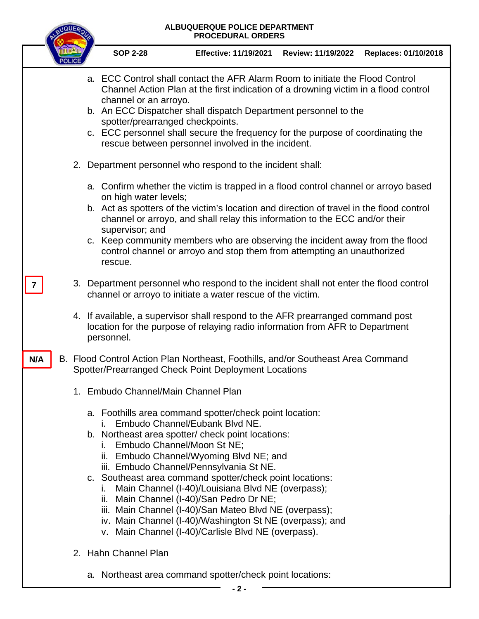## **ALBUQUERQUE POLICE DEPARTMENT PROCEDURAL ORDERS SOP 2-28 Effective: 11/19/2021 Review: 11/19/2022 Replaces: 01/10/2018** a. ECC Control shall contact the AFR Alarm Room to initiate the Flood Control Channel Action Plan at the first indication of a drowning victim in a flood control channel or an arroyo. b. An ECC Dispatcher shall dispatch Department personnel to the spotter/prearranged checkpoints. c. ECC personnel shall secure the frequency for the purpose of coordinating the rescue between personnel involved in the incident. 2. Department personnel who respond to the incident shall: a. Confirm whether the victim is trapped in a flood control channel or arroyo based on high water levels; b. Act as spotters of the victim's location and direction of travel in the flood control channel or arroyo, and shall relay this information to the ECC and/or their supervisor; and c. Keep community members who are observing the incident away from the flood control channel or arroyo and stop them from attempting an unauthorized rescue. 3. Department personnel who respond to the incident shall not enter the flood control channel or arroyo to initiate a water rescue of the victim. 4. If available, a supervisor shall respond to the AFR prearranged command post location for the purpose of relaying radio information from AFR to Department personnel. B. Flood Control Action Plan Northeast, Foothills, and/or Southeast Area Command Spotter/Prearranged Check Point Deployment Locations 1. Embudo Channel/Main Channel Plan a. Foothills area command spotter/check point location: i. Embudo Channel/Eubank Blvd NE. b. Northeast area spotter/ check point locations: i. Embudo Channel/Moon St NE; ii. Embudo Channel/Wyoming Blvd NE; and iii. Embudo Channel/Pennsylvania St NE. c. Southeast area command spotter/check point locations: i. Main Channel (I-40)/Louisiana Blvd NE (overpass); ii. Main Channel (I-40)/San Pedro Dr NE; iii. Main Channel (I-40)/San Mateo Blvd NE (overpass); iv. Main Channel (I-40)/Washington St NE (overpass); and v. Main Channel (I-40)/Carlisle Blvd NE (overpass). 2. Hahn Channel Plan a. Northeast area command spotter/check point locations: **N/A 7**